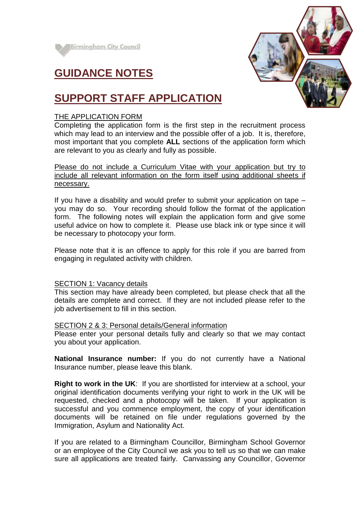





# **SUPPORT STAFF APPLICATION**

# THE APPLICATION FORM

Completing the application form is the first step in the recruitment process which may lead to an interview and the possible offer of a job. It is, therefore, most important that you complete **ALL** sections of the application form which are relevant to you as clearly and fully as possible.

Please do not include a Curriculum Vitae with your application but try to include all relevant information on the form itself using additional sheets if necessary.

If you have a disability and would prefer to submit your application on tape – you may do so. Your recording should follow the format of the application form. The following notes will explain the application form and give some useful advice on how to complete it. Please use black ink or type since it will be necessary to photocopy your form.

Please note that it is an offence to apply for this role if you are barred from engaging in regulated activity with children.

### SECTION 1: Vacancy details

This section may have already been completed, but please check that all the details are complete and correct. If they are not included please refer to the job advertisement to fill in this section.

### SECTION 2 & 3: Personal details/General information

Please enter your personal details fully and clearly so that we may contact you about your application.

**National Insurance number:** If you do not currently have a National Insurance number, please leave this blank.

**Right to work in the UK**: If you are shortlisted for interview at a school, your original identification documents verifying your right to work in the UK will be requested, checked and a photocopy will be taken. If your application is successful and you commence employment, the copy of your identification documents will be retained on file under regulations governed by the Immigration, Asylum and Nationality Act.

If you are related to a Birmingham Councillor, Birmingham School Governor or an employee of the City Council we ask you to tell us so that we can make sure all applications are treated fairly. Canvassing any Councillor, Governor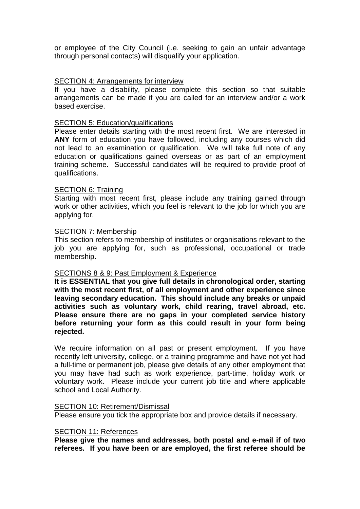or employee of the City Council (i.e. seeking to gain an unfair advantage through personal contacts) will disqualify your application.

## SECTION 4: Arrangements for interview

If you have a disability, please complete this section so that suitable arrangements can be made if you are called for an interview and/or a work based exercise.

### SECTION 5: Education/qualifications

Please enter details starting with the most recent first. We are interested in **ANY** form of education you have followed, including any courses which did not lead to an examination or qualification. We will take full note of any education or qualifications gained overseas or as part of an employment training scheme. Successful candidates will be required to provide proof of qualifications.

### SECTION 6: Training

Starting with most recent first, please include any training gained through work or other activities, which you feel is relevant to the job for which you are applying for.

#### SECTION 7: Membership

This section refers to membership of institutes or organisations relevant to the job you are applying for, such as professional, occupational or trade membership.

### SECTIONS 8 & 9: Past Employment & Experience

**It is ESSENTIAL that you give full details in chronological order, starting with the most recent first, of all employment and other experience since leaving secondary education. This should include any breaks or unpaid activities such as voluntary work, child rearing, travel abroad, etc. Please ensure there are no gaps in your completed service history before returning your form as this could result in your form being rejected.**

We require information on all past or present employment. If you have recently left university, college, or a training programme and have not yet had a full-time or permanent job, please give details of any other employment that you may have had such as work experience, part-time, holiday work or voluntary work. Please include your current job title and where applicable school and Local Authority.

#### SECTION 10: Retirement/Dismissal

Please ensure you tick the appropriate box and provide details if necessary.

#### SECTION 11: References

**Please give the names and addresses, both postal and e-mail if of two referees. If you have been or are employed, the first referee should be**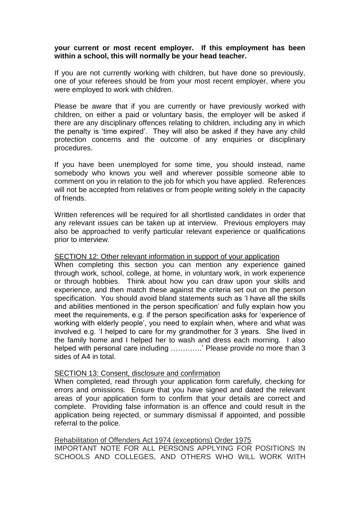# **your current or most recent employer. If this employment has been within a school, this will normally be your head teacher.**

If you are not currently working with children, but have done so previously, one of your referees should be from your most recent employer, where you were employed to work with children.

Please be aware that if you are currently or have previously worked with children, on either a paid or voluntary basis, the employer will be asked if there are any disciplinary offences relating to children, including any in which the penalty is 'time expired'. They will also be asked if they have any child protection concerns and the outcome of any enquiries or disciplinary procedures.

If you have been unemployed for some time, you should instead, name somebody who knows you well and wherever possible someone able to comment on you in relation to the job for which you have applied. References will not be accepted from relatives or from people writing solely in the capacity of friends.

Written references will be required for all shortlisted candidates in order that any relevant issues can be taken up at interview. Previous employers may also be approached to verify particular relevant experience or qualifications prior to interview.

### SECTION 12: Other relevant information in support of your application

When completing this section you can mention any experience gained through work, school, college, at home, in voluntary work, in work experience or through hobbies. Think about how you can draw upon your skills and experience, and then match these against the criteria set out on the person specification. You should avoid bland statements such as 'I have all the skills and abilities mentioned in the person specification' and fully explain how you meet the requirements, e.g. if the person specification asks for 'experience of working with elderly people', you need to explain when, where and what was involved e.g. 'I helped to care for my grandmother for 3 years. She lived in the family home and I helped her to wash and dress each morning. I also helped with personal care including ………….' Please provide no more than 3 sides of A4 in total.

### SECTION 13: Consent, disclosure and confirmation

When completed, read through your application form carefully, checking for errors and omissions. Ensure that you have signed and dated the relevant areas of your application form to confirm that your details are correct and complete. Providing false information is an offence and could result in the application being rejected, or summary dismissal if appointed, and possible referral to the police.

Rehabilitation of Offenders Act 1974 (exceptions) Order 1975 IMPORTANT NOTE FOR ALL PERSONS APPLYING FOR POSITIONS IN SCHOOLS AND COLLEGES, AND OTHERS WHO WILL WORK WITH